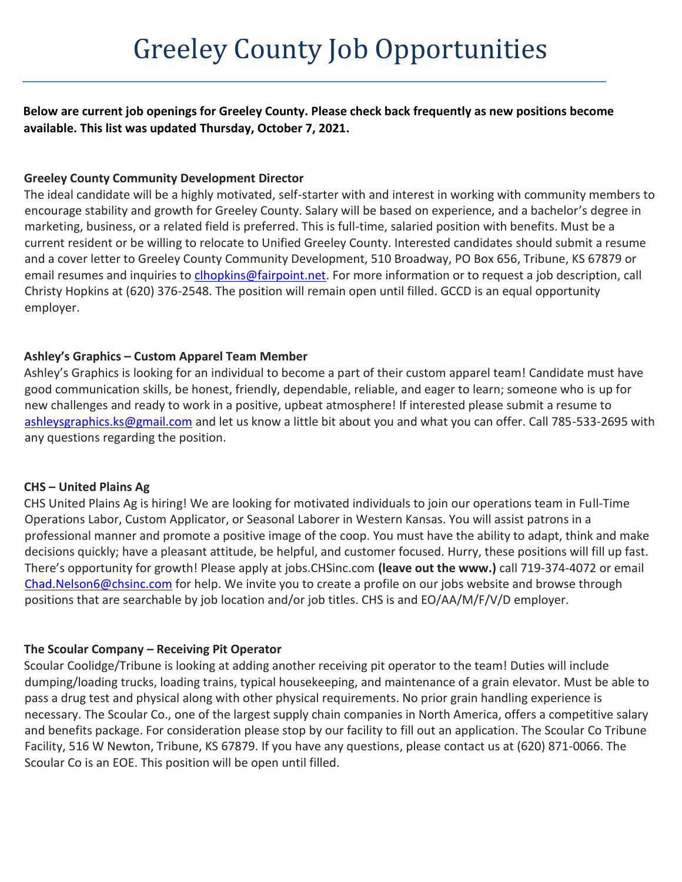**Below are current job openings for Greeley County. Please check back frequently as new positions become available. This list was updated Thursday, October 7, 2021.**

### **Greeley County Community Development Director**

The ideal candidate will be a highly motivated, self-starter with and interest in working with community members to encourage stability and growth for Greeley County. Salary will be based on experience, and a bachelor's degree in marketing, business, or a related field is preferred. This is full-time, salaried position with benefits. Must be a current resident or be willing to relocate to Unified Greeley County. Interested candidates should submit a resume and a cover letter to Greeley County Community Development, 510 Broadway, PO Box 656, Tribune, KS 67879 or email resumes and inquiries to *clhopkins@fairpoint.net*. For more information or to request a job description, call Christy Hopkins at (620) 376-2548. The position will remain open until filled. GCCD is an equal opportunity employer.

## **Ashley's Graphics – Custom Apparel Team Member**

Ashley's Graphics is looking for an individual to become a part of their custom apparel team! Candidate must have good communication skills, be honest, friendly, dependable, reliable, and eager to learn; someone who is up for new challenges and ready to work in a positive, upbeat atmosphere! If interested please submit a resume to [ashleysgraphics.ks@gmail.com](mailto:ashleysgraphics.ks@gmail.com) and let us know a little bit about you and what you can offer. Call 785-533-2695 with any questions regarding the position.

### **CHS – United Plains Ag**

CHS United Plains Ag is hiring! We are looking for motivated individuals to join our operations team in Full-Time Operations Labor, Custom Applicator, or Seasonal Laborer in Western Kansas. You will assist patrons in a professional manner and promote a positive image of the coop. You must have the ability to adapt, think and make decisions quickly; have a pleasant attitude, be helpful, and customer focused. Hurry, these positions will fill up fast. There's opportunity for growth! Please apply at jobs.CHSinc.com **(leave out the www.)** call 719-374-4072 or email [Chad.Nelson6@chsinc.com](mailto:Chad.Nelson6@chsinc.com) for help. We invite you to create a profile on our jobs website and browse through positions that are searchable by job location and/or job titles. CHS is and EO/AA/M/F/V/D employer.

## **The Scoular Company – Receiving Pit Operator**

Scoular Coolidge/Tribune is looking at adding another receiving pit operator to the team! Duties will include dumping/loading trucks, loading trains, typical housekeeping, and maintenance of a grain elevator. Must be able to pass a drug test and physical along with other physical requirements. No prior grain handling experience is necessary. The Scoular Co., one of the largest supply chain companies in North America, offers a competitive salary and benefits package. For consideration please stop by our facility to fill out an application. The Scoular Co Tribune Facility, 516 W Newton, Tribune, KS 67879. If you have any questions, please contact us at (620) 871-0066. The Scoular Co is an EOE. This position will be open until filled.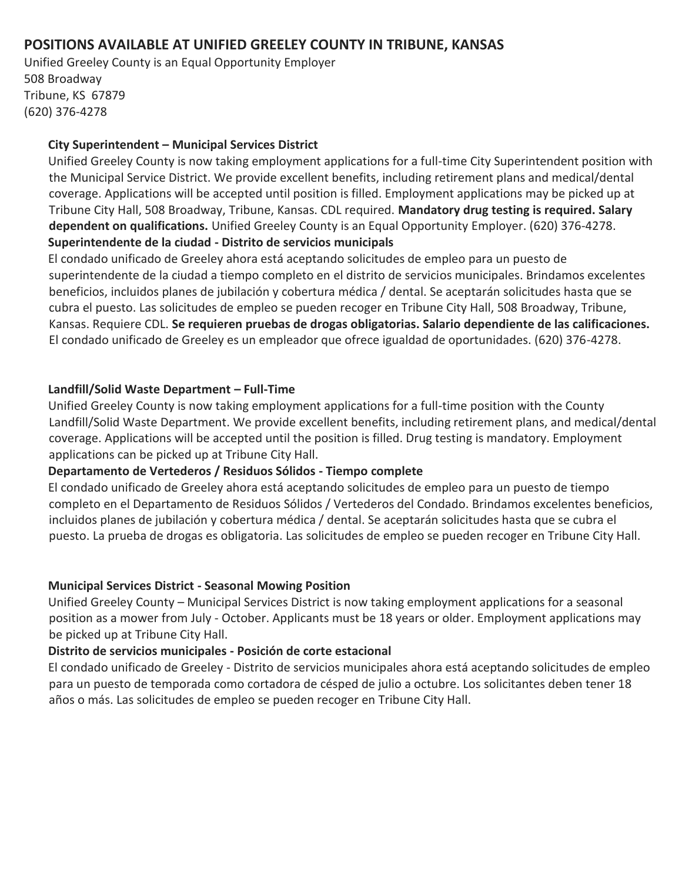# **POSITIONS AVAILABLE AT UNIFIED GREELEY COUNTY IN TRIBUNE, KANSAS**

Unified Greeley County is an Equal Opportunity Employer 508 Broadway Tribune, KS 67879 (620) 376-4278

### **City Superintendent – Municipal Services District**

Unified Greeley County is now taking employment applications for a full-time City Superintendent position with the Municipal Service District. We provide excellent benefits, including retirement plans and medical/dental coverage. Applications will be accepted until position is filled. Employment applications may be picked up at Tribune City Hall, 508 Broadway, Tribune, Kansas. CDL required. **Mandatory drug testing is required. Salary dependent on qualifications.** Unified Greeley County is an Equal Opportunity Employer. (620) 376-4278. **Superintendente de la ciudad - Distrito de servicios municipals**

El condado unificado de Greeley ahora está aceptando solicitudes de empleo para un puesto de superintendente de la ciudad a tiempo completo en el distrito de servicios municipales. Brindamos excelentes beneficios, incluidos planes de jubilación y cobertura médica / dental. Se aceptarán solicitudes hasta que se cubra el puesto. Las solicitudes de empleo se pueden recoger en Tribune City Hall, 508 Broadway, Tribune, Kansas. Requiere CDL. **Se requieren pruebas de drogas obligatorias. Salario dependiente de las calificaciones.** El condado unificado de Greeley es un empleador que ofrece igualdad de oportunidades. (620) 376-4278.

### **Landfill/Solid Waste Department – Full-Time**

Unified Greeley County is now taking employment applications for a full-time position with the County Landfill/Solid Waste Department. We provide excellent benefits, including retirement plans, and medical/dental coverage. Applications will be accepted until the position is filled. Drug testing is mandatory. Employment applications can be picked up at Tribune City Hall.

## **Departamento de Vertederos / Residuos Sólidos - Tiempo complete**

El condado unificado de Greeley ahora está aceptando solicitudes de empleo para un puesto de tiempo completo en el Departamento de Residuos Sólidos / Vertederos del Condado. Brindamos excelentes beneficios, incluidos planes de jubilación y cobertura médica / dental. Se aceptarán solicitudes hasta que se cubra el puesto. La prueba de drogas es obligatoria. Las solicitudes de empleo se pueden recoger en Tribune City Hall.

## **Municipal Services District - Seasonal Mowing Position**

Unified Greeley County – Municipal Services District is now taking employment applications for a seasonal position as a mower from July - October. Applicants must be 18 years or older. Employment applications may be picked up at Tribune City Hall.

## **Distrito de servicios municipales - Posición de corte estacional**

El condado unificado de Greeley - Distrito de servicios municipales ahora está aceptando solicitudes de empleo para un puesto de temporada como cortadora de césped de julio a octubre. Los solicitantes deben tener 18 años o más. Las solicitudes de empleo se pueden recoger en Tribune City Hall.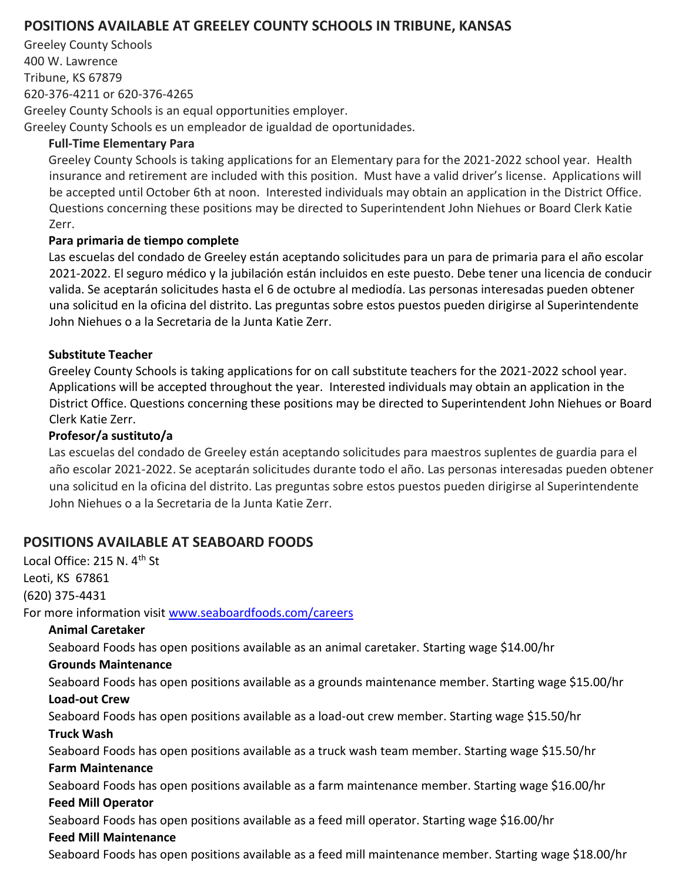# **POSITIONS AVAILABLE AT GREELEY COUNTY SCHOOLS IN TRIBUNE, KANSAS**

Greeley County Schools 400 W. Lawrence Tribune, KS 67879 620-376-4211 or 620-376-4265 Greeley County Schools is an equal opportunities employer. Greeley County Schools es un empleador de igualdad de oportunidades.

### **Full-Time Elementary Para**

Greeley County Schools is taking applications for an Elementary para for the 2021-2022 school year. Health insurance and retirement are included with this position. Must have a valid driver's license. Applications will be accepted until October 6th at noon. Interested individuals may obtain an application in the District Office. Questions concerning these positions may be directed to Superintendent John Niehues or Board Clerk Katie Zerr.

### **Para primaria de tiempo complete**

Las escuelas del condado de Greeley están aceptando solicitudes para un para de primaria para el año escolar 2021-2022. El seguro médico y la jubilación están incluidos en este puesto. Debe tener una licencia de conducir valida. Se aceptarán solicitudes hasta el 6 de octubre al mediodía. Las personas interesadas pueden obtener una solicitud en la oficina del distrito. Las preguntas sobre estos puestos pueden dirigirse al Superintendente John Niehues o a la Secretaria de la Junta Katie Zerr.

## **Substitute Teacher**

Greeley County Schools is taking applications for on call substitute teachers for the 2021-2022 school year. Applications will be accepted throughout the year. Interested individuals may obtain an application in the District Office. Questions concerning these positions may be directed to Superintendent John Niehues or Board Clerk Katie Zerr.

### **Profesor/a sustituto/a**

Las escuelas del condado de Greeley están aceptando solicitudes para maestros suplentes de guardia para el año escolar 2021-2022. Se aceptarán solicitudes durante todo el año. Las personas interesadas pueden obtener una solicitud en la oficina del distrito. Las preguntas sobre estos puestos pueden dirigirse al Superintendente John Niehues o a la Secretaria de la Junta Katie Zerr.

## **POSITIONS AVAILABLE AT SEABOARD FOODS**

Local Office: 215 N. 4<sup>th</sup> St Leoti, KS 67861 (620) 375-4431 For more information visit [www.seaboardfoods.com/careers](http://www.seaboardfoods.com/careers) **Animal Caretaker** Seaboard Foods has open positions available as an animal caretaker. Starting wage \$14.00/hr **Grounds Maintenance** Seaboard Foods has open positions available as a grounds maintenance member. Starting wage \$15.00/hr **Load-out Crew** Seaboard Foods has open positions available as a load-out crew member. Starting wage \$15.50/hr **Truck Wash** Seaboard Foods has open positions available as a truck wash team member. Starting wage \$15.50/hr **Farm Maintenance** Seaboard Foods has open positions available as a farm maintenance member. Starting wage \$16.00/hr **Feed Mill Operator** Seaboard Foods has open positions available as a feed mill operator. Starting wage \$16.00/hr **Feed Mill Maintenance** Seaboard Foods has open positions available as a feed mill maintenance member. Starting wage \$18.00/hr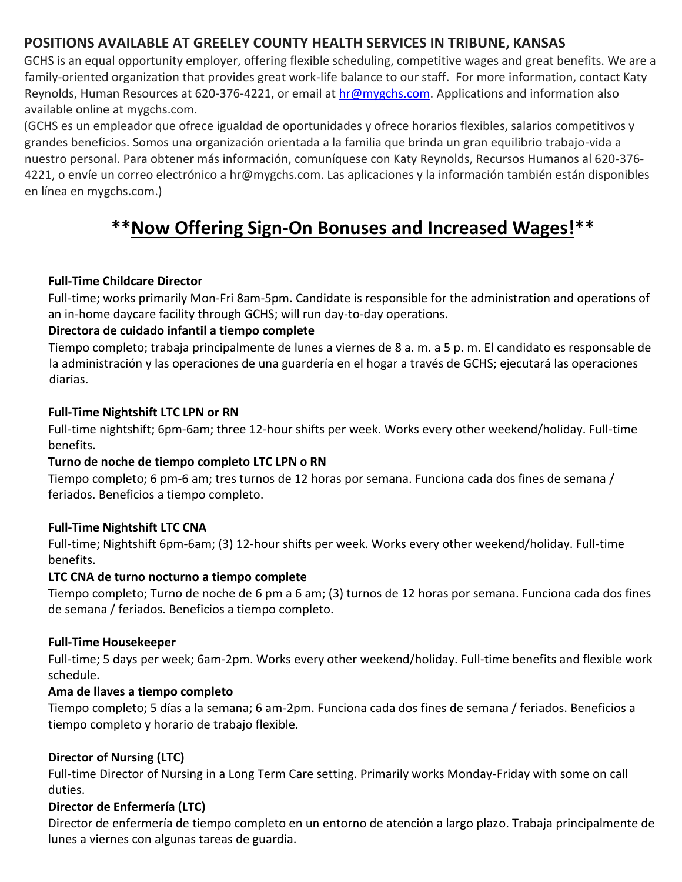# **POSITIONS AVAILABLE AT GREELEY COUNTY HEALTH SERVICES IN TRIBUNE, KANSAS**

GCHS is an equal opportunity employer, offering flexible scheduling, competitive wages and great benefits. We are a family-oriented organization that provides great work-life balance to our staff. For more information, contact Katy Reynolds, Human Resources at 620-376-4221, or email at hr@mygchs.com. Applications and information also available online at mygchs.com.

(GCHS es un empleador que ofrece igualdad de oportunidades y ofrece horarios flexibles, salarios competitivos y grandes beneficios. Somos una organización orientada a la familia que brinda un gran equilibrio trabajo-vida a nuestro personal. Para obtener más información, comuníquese con Katy Reynolds, Recursos Humanos al 620-376- 4221, o envíe un correo electrónico a hr@mygchs.com. Las aplicaciones y la información también están disponibles en línea en mygchs.com.)

# **\*\*Now Offering Sign-On Bonuses and Increased Wages!\*\***

## **Full-Time Childcare Director**

Full-time; works primarily Mon-Fri 8am-5pm. Candidate is responsible for the administration and operations of an in-home daycare facility through GCHS; will run day-to-day operations.

## **Directora de cuidado infantil a tiempo complete**

Tiempo completo; trabaja principalmente de lunes a viernes de 8 a. m. a 5 p. m. El candidato es responsable de la administración y las operaciones de una guardería en el hogar a través de GCHS; ejecutará las operaciones diarias.

### **Full-Time Nightshift LTC LPN or RN**

Full-time nightshift; 6pm-6am; three 12-hour shifts per week. Works every other weekend/holiday. Full-time benefits.

## **Turno de noche de tiempo completo LTC LPN o RN**

Tiempo completo; 6 pm-6 am; tres turnos de 12 horas por semana. Funciona cada dos fines de semana / feriados. Beneficios a tiempo completo.

## **Full-Time Nightshift LTC CNA**

Full-time; Nightshift 6pm-6am; (3) 12-hour shifts per week. Works every other weekend/holiday. Full-time benefits.

## **LTC CNA de turno nocturno a tiempo complete**

Tiempo completo; Turno de noche de 6 pm a 6 am; (3) turnos de 12 horas por semana. Funciona cada dos fines de semana / feriados. Beneficios a tiempo completo.

### **Full-Time Housekeeper**

Full-time; 5 days per week; 6am-2pm. Works every other weekend/holiday. Full-time benefits and flexible work schedule.

## **Ama de llaves a tiempo completo**

Tiempo completo; 5 días a la semana; 6 am-2pm. Funciona cada dos fines de semana / feriados. Beneficios a tiempo completo y horario de trabajo flexible.

## **Director of Nursing (LTC)**

Full-time Director of Nursing in a Long Term Care setting. Primarily works Monday-Friday with some on call duties.

## **Director de Enfermería (LTC)**

Director de enfermería de tiempo completo en un entorno de atención a largo plazo. Trabaja principalmente de lunes a viernes con algunas tareas de guardia.